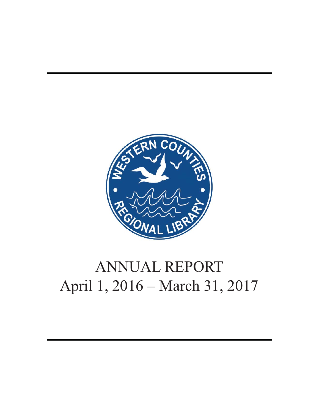

# ANNUAL REPORT April 1, 2016 – March 31, 2017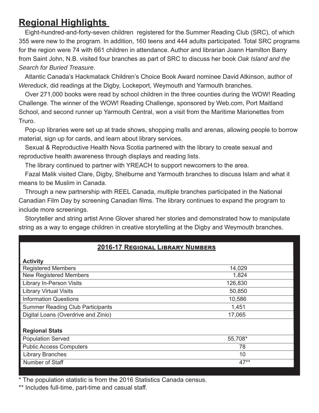# **Regional Highlights**

Eight-hundred-and-forty-seven children registered for the Summer Reading Club (SRC), of which 355 were new to the program. In addition, 160 teens and 444 adults participated. Total SRC programs for the region were 74 with 661 children in attendance. Author and librarian Joann Hamilton Barry from Saint John, N.B. visited four branches as part of SRC to discuss her book *Oak Island and the Search for Buried Treasure*.

Atlantic Canada's Hackmatack Children's Choice Book Award nominee David Atkinson, author of *Wereduck*, did readings at the Digby, Lockeport, Weymouth and Yarmouth branches.

Over 271,000 books were read by school children in the three counties during the WOW! Reading Challenge. The winner of the WOW! Reading Challenge, sponsored by Web.com, Port Maitland School, and second runner up Yarmouth Central, won a visit from the Maritime Marionettes from Truro.

Pop-up libraries were set up at trade shows, shopping malls and arenas, allowing people to borrow material, sign up for cards, and learn about library services.

Sexual & Reproductive Health Nova Scotia partnered with the library to create sexual and reproductive health awareness through displays and reading lists.

The library continued to partner with YREACH to support newcomers to the area.

Fazal Malik visited Clare, Digby, Shelburne and Yarmouth branches to discuss Islam and what it means to be Muslim in Canada.

Through a new partnership with REEL Canada, multiple branches participated in the National Canadian Film Day by screening Canadian films. The library continues to expand the program to include more screenings.

Storyteller and string artist Anne Glover shared her stories and demonstrated how to manipulate string as a way to engage children in creative storytelling at the Digby and Weymouth branches.

#### **2016-17 REGIONAL LIBRARY NUMBERS**

| <b>Activity</b>                         |         |
|-----------------------------------------|---------|
| <b>Registered Members</b>               | 14,029  |
| <b>New Registered Members</b>           | 1,824   |
| <b>Library In-Person Visits</b>         | 126,830 |
| <b>Library Virtual Visits</b>           | 50,850  |
| <b>Information Questions</b>            | 10,586  |
| <b>Summer Reading Club Participants</b> | 1,451   |
| Digital Loans (Overdrive and Zinio)     | 17,065  |
|                                         |         |
| <b>Regional Stats</b>                   |         |
| <b>Population Served</b>                | 55,708* |
| <b>Public Access Computers</b>          | 78      |
| <b>Library Branches</b>                 | 10      |
| Number of Staff                         | $47**$  |

The population statistic is from the 2016 Statistics Canada census.

\*\* Includes full-time, part-time and casual staff.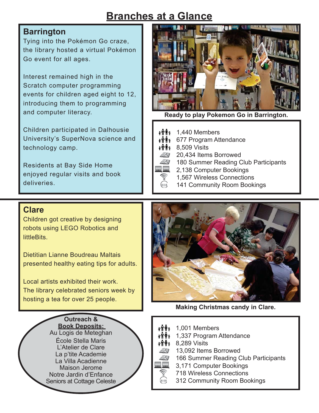# **Branches at a Glance**

#### **Barrington**

Tying into the Pokémon Go craze, the library hosted a virtual Pokémon Go event for all ages.

Interest remained high in the Scratch computer programming events for children aged eight to 12, introducing them to programming and computer literacy.

Children participated in Dalhousie University's SuperNova science and technology camp.

Residents at Bay Side Home enjoyed regular visits and book deliveries.

# **Clare**

Children got creative by designing robots using LEGO Robotics and **littleBits** 

Dietitian Lianne Boudreau Maltais presented healthy eating tips for adults.

Local artists exhibited their work. The library celebrated seniors week by hosting a tea for over 25 people.





**Ready to play Pokemon Go in Barrington.**

- $\mathbf{1}$ , 440 Members
- 677 Program Attendance
- $\mathbf{A}$  $\mathbf{A}$  $\mathbf{B}$  8.509 Visits
- **20,434 Items Borrowed** 
	- 180 Summer Reading Club Participants
- 2,138 Computer Bookings
- 1,567 Wireless Connections
- 141 Community Room Bookings



**Making Christmas candy in Clare.**

- 1,001 Members
- 1,337 Program Attendance
- 8,289 Visits
- **49 13,092 Items Borrowed** 
	- 166 Summer Reading Club Participants
	- 3,171 Computer Bookings
	- 718 Wireless Connections
	- 312 Community Room Bookings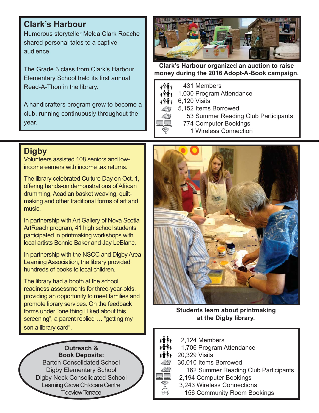# **Clark's Harbour**

Humorous storyteller Melda Clark Roache shared personal tales to a captive audience.

The Grade 3 class from Clark's Harbour Elementary School held its first annual Read-A-Thon in the library.

A handicrafters program grew to become a club, running continuously throughout the year.



**Clark's Harbour organized an auction to raise money during the 2016 Adopt-A-Book campaign.**

- $\mathbf{A}$   $\mathbf{A}$   $\mathbf{A}$   $\mathbf{A}$   $\mathbf{A}$   $\mathbf{A}$   $\mathbf{A}$   $\mathbf{A}$   $\mathbf{A}$   $\mathbf{A}$   $\mathbf{A}$   $\mathbf{A}$   $\mathbf{A}$   $\mathbf{A}$   $\mathbf{A}$   $\mathbf{A}$   $\mathbf{A}$   $\mathbf{A}$   $\mathbf{A}$   $\mathbf{A}$   $\mathbf{A}$   $\mathbf{A}$   $\mathbf{A}$   $\mathbf{A}$   $\mathbf{$
- 1,030 Program Attendance
- **AM** 6,120 Visits
- **444 5.152 Items Borrowed**
- 53 Summer Reading Club Participants
	- 774 Computer Bookings
		- 1 Wireless Connection

# **Digby**

Volunteers assisted 108 seniors and lowincome earners with income tax returns.

The library celebrated Culture Day on Oct. 1, offering hands-on demonstrations of African drumming, Acadian basket weaving, quiltmaking and other traditional forms of art and music.

In partnership with Art Gallery of Nova Scotia ArtReach program, 41 high school students participated in printmaking workshops with local artists Bonnie Baker and Jay LeBlanc.

In partnership with the NSCC and Digby Area Learning Association, the library provided hundreds of books to local children.

The library had a booth at the school readiness assessments for three-year-olds, providing an opportunity to meet families and promote library services. On the feedback forms under "one thing I liked about this screening", a parent replied … "getting my son a library card".





**Students learn about printmaking at the Digby library.**

- $\mathbf{A}$  $\mathbf{A}$  $\mathbf{B}$  2.124 Members
- 1,706 Program Attendance
- **i音轴** 20,329 Visits
- **30.010 Items Borrowed**
- **49 162 Summer Reading Club Participants** 
	- 2,194 Computer Bookings
- 3,243 Wireless Connections<br>
156 Community Room Boc
	- 156 Community Room Bookings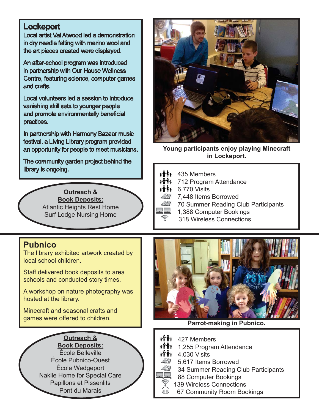#### **Lockeport**

Local artist Val Atwood led a demonstration in dry needle felting with merino wool and the art pieces created were displayed.

An after-school program was introduced in partnership with Our House Wellness Centre, featuring science, computer games and crafts.

Local volunteers led a session to introduce vanishing skill sets to younger people and promote environmentally beneficial practices.

In partnership with Harmony Bazaar music festival, a Living Library program provided an opportunity for people to meet musicians.

The community garden project behind the library is ongoing.

> **Outreach & Book Deposits:** Atlantic Heights Rest Home Surf Lodge Nursing Home

# **Pubnico**

The library exhibited artwork created by local school children.

Staff delivered book deposits to area schools and conducted story times.

A workshop on nature photography was hosted at the library.

Minecraft and seasonal crafts and games were offered to children.





**Young participants enjoy playing Minecraft**  in Lockeport.

- <sup>\*\*\*\*</sup> 435 Members
- 712 Program Attendance
- **t愉** 6,770 Visits
- 7,448 Items Borrowed
- 70 Summer Reading Club Participants
- 1,388 Computer Bookings
	- 318 Wireless Connections



**Parrot-making in Pubnico.**

- 427 Members
- 1,255 Program Attendance
- 4,030 Visits
	- 5,617 Items Borrowed
	- 34 Summer Reading Club Participants
	- 88 Computer Bookings
	- 139 Wireless Connections
	- 67 Community Room Bookings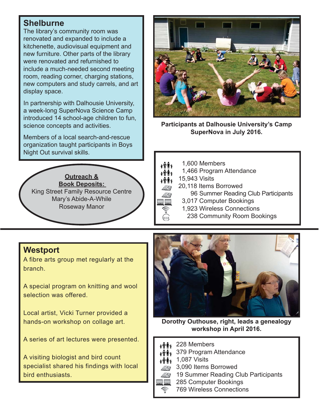#### **Shelburne**

The library's community room was renovated and expanded to include a kitchenette, audiovisual equipment and new furniture. Other parts of the library were renovated and refurnished to include a much-needed second meeting room, reading corner, charging stations, new computers and study carrels, and art display space.

In partnership with Dalhousie University, a week-long SuperNova Science Camp introduced 14 school-age children to fun, science concepts and activities.

Members of a local search-and-rescue organization taught participants in Boys Night Out survival skills.

**Outreach & Book Deposits:**  King Street Family Resource Centre Mary's Abide-A-While Roseway Manor



**Participants at Dalhousie University's Camp SuperNova in July 2016.** 



- $\mathbf{H}^*$  1,600 Members
- <sub>้∲้∳้∲้</sub> 1,466 Program Attendance
- $\mathbf{m}_{\mathbf{i}}$  15,943 Visits
	- 20,118 Items Borrowed
		- 96 Summer Reading Club Participants
	- 3,017 Computer Bookings
	- 1,923 Wireless Connections
		- 238 Community Room Bookings

#### **Westport**

A fibre arts group met regularly at the branch.

A special program on knitting and wool selection was offered.

Local artist, Vicki Turner provided a hands-on workshop on collage art.

A series of art lectures were presented.

A visiting biologist and bird count specialist shared his findings with local bird enthusiasts.



**Dorothy Outhouse, right, leads a genealogy workshop in April 2016.**

- **A前** 228 Members
- 379 Program Attendance
- **1,087 Visits**
- **3,090 Items Borrowed**
- 19 Summer Reading Club Participants
- 285 Computer Bookings
- 769 Wireless Connections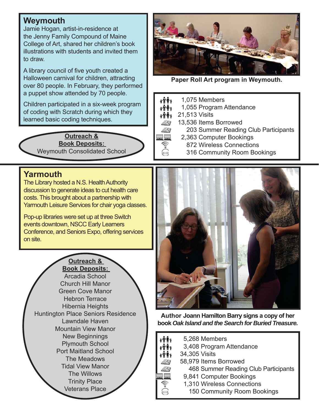#### **Weymouth**

Jamie Hogan, artist-in-residence at the Jenny Family Compound of Maine College of Art, shared her children's book illustrations with students and invited them to draw.

A library council of five youth created a Halloween carnival for children, attracting over 80 people. In February, they performed a puppet show attended by 70 people.

Children participated in a six-week program of coding with Scratch during which they learned basic coding techniques.

> **Outreach & Book Deposits:**  Weymouth Consolidated School

#### **Yarmouth**

The Library hosted a N.S. Health Authority discussion to generate ideas to cut health care costs. This brought about a partnership with Yarmouth Leisure Services for chair yoga classes.

Pop-up libraries were set up at three Switch events downtown, NSCC Early Learners Conference, and Seniors Expo, offering services on site.

**Outreach &** 

**Book Deposits:**  Arcadia School Church Hill Manor Green Cove Manor Hebron Terrace Hibernia Heights Huntington Place Seniors Residence Lawndale Haven Mountain View Manor New Beginnings Plymouth School Port Maitland School The Meadows Tidal View Manor The Willows Trinity Place Veterans Place



**Paper Roll Art program in Weymouth.**

- $\mathbf{1}$ ,075 Members
- in¥i, 1,055 Program Attendance
- **i**<sup>1</sup>i 21,513 Visits
- **444 13,536 Items Borrowed** 
	- 203 Summer Reading Club Participants
	- 2,363 Computer Bookings
	- 872 Wireless Connections
- **EXECUTE:** 316 Community Room Bookings



Author Joann Hamilton Barry signs a copy of her **book** *Oak Island and the Search for Buried Treasure.*

- ነትችኑ 5,268 Members ተሸችነ 3,408 Program Attendance i fi fi 34,305 Visits 58,979 Items Borrowed 49 BA 468 Summer Reading Club Participants 三 9,841 Computer Bookings  $\widehat{\mathbb{C}}$ 1,310 Wireless Connections
- $\underline{\overset{\sim}{\bullet}}$  150 Community Room Bookings